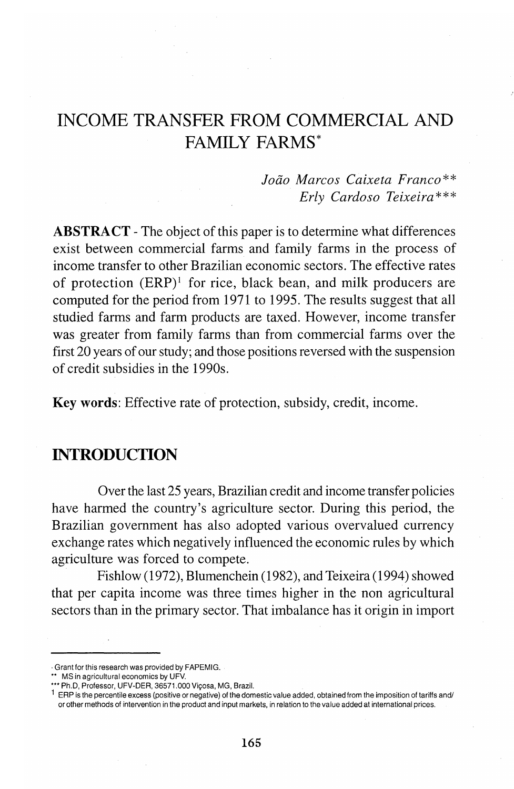# **INCOME TRANSFER FROM COMMERCIAL AND FAMILY FARMS\***

### *Jada Marcos Caixeta Franco\*\* Erly Cardoso Teixeira\*\*\**

**ABSTRACT** - The object of this paper is to determine what differences exist between commercial farms and family farms in the process of income transfer to other Brazilian economic sectors. The effective rates of protection  $(ERP)^1$  for rice, black bean, and milk producers are computed for the period from 1971 to 1995. The results suggest that all studied farms and farm products are taxed. However, income transfer was greater from family farms than from commercial farms over the first 20 years of our study; and those positions reversed with the suspension of credit subsidies in the 1990s.

**Key words:** Effective rate of protection, subsidy, credit, income.

# **INTRODUCTION**

Over the last 25 years, Brazilian credit and income transfer policies have harmed the country's agriculture sector. During this period, the Brazilian government has also adopted various overvalued currency exchange rates which negatively influenced the economic rules by which agriculture was forced to compete.

Fishlow (1972), Blumenchein (1982), and Teixeira (1994) showed that per capita income was three times higher in the non agricultural sectors than in the primary sector. That imbalance has it origin in import

<sup>•</sup> Grant for this research was provided by FAPEMIG.

<sup>\*\*</sup> MS in agricultural economics by UFV.

<sup>\*\*\*</sup> Ph.D, Professor, UFV-DER, 36571.000 Viçosa, MG, Brazil.

 $1$  ERP is the percentile excess (positive or negative) of the domestic value added, obtained from the imposition of tariffs and/ or other methods of intervention in the product and input markets, in relation to the value added at international prices.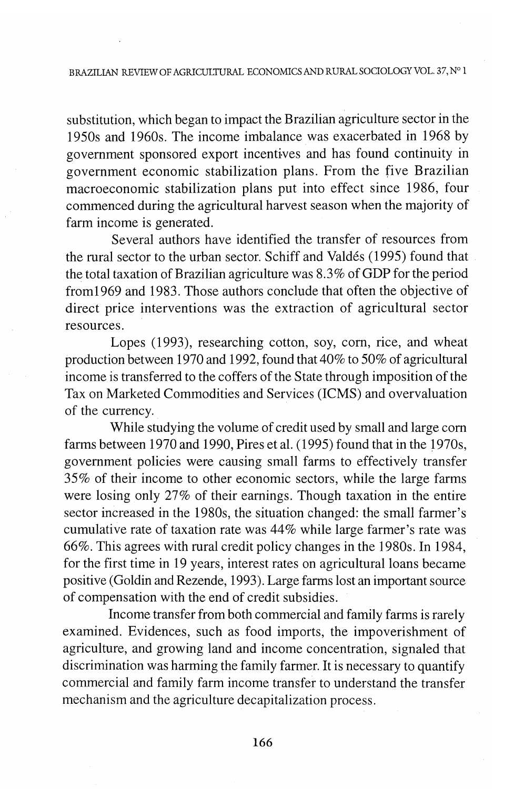substitution, which began to impact the Brazilian agriculture sector in the 1950s and 1960s. The income imbalance was exacerbated in 1968 by government sponsored export incentives and has found continuity in government economic stabilization plans. From the five Brazilian macroeconomic stabilization plans put into effect since 1986, four commenced during the agricultural harvest season when the majority of farm income is generated.

Several authors have identified the transfer of resources from the rural sector to the urban sector. Schiff and Valdes (1995) found that the total taxation of Brazilian agriculture was 8.3% of GDP for the period from1969 and 1983. Those authors conclude that often the objective of direct price interventions was the extraction of agricultural sector resources.

Lopes (1993), researching cotton, soy, corn, rice, and wheat production between 1970 and 1992, found that 40% to 50% of agricultural income is transferred to the coffers of the State through imposition of the Tax on Marketed Commodities and Services (ICMS) and overvaluation of the currency.

While studying the volume of credit used by small and large com farms between 1970 and 1990, Pires et al. (1995) found that in the 1970s, government policies were causing small farms to effectively transfer 35% of their income to other economic sectors, while the large farms were losing only 27% of their earnings. Though taxation in the entire sector increased in the 1980s, the situation changed: the small farmer's cumulative rate of taxation rate was 44% while large farmer's rate was 66%. This agrees with rural credit policy changes in the 1980s. In 1984, for the first time in 19 years, interest rates on agricultural loans became positive (Goldin and Rezende, 1993). Large farms lost an important source of compensation with the end of credit subsidies.

Income transfer from both commercial and family farms is rarely examined. Evidences, such as food imports, the impoverishment of agriculture, and growing land and income concentration, signaled that discrimination was harming the family farmer. It is necessary to quantify commercial and family farm income transfer to understand the transfer mechanism and the agriculture decapitalization process.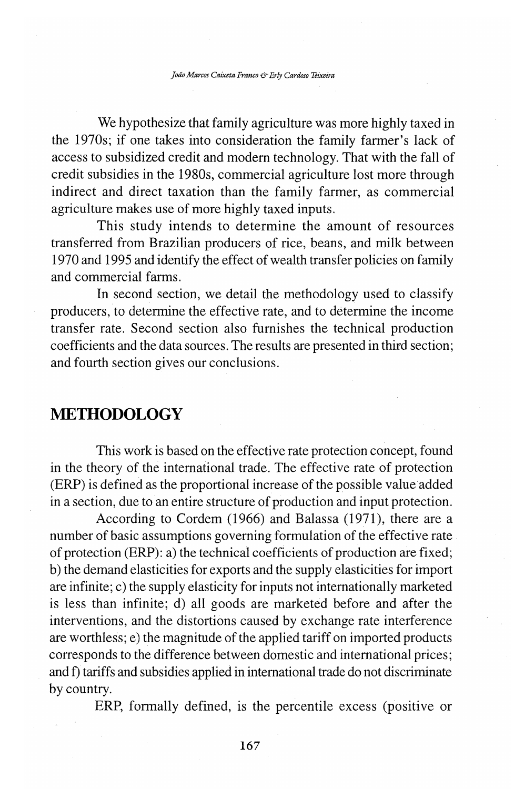We hypothesize that family agriculture was more highly taxed in the 1970s; if one takes into consideration the family farmer's lack of access to subsidized credit and modem technology. That with the fall of credit subsidies in the 1980s, commercial agriculture lost more through indirect and direct taxation than the family farmer, as commercial agriculture makes use of more highly taxed inputs.

This study intends to determine the amount of resources transferred from Brazilian producers of rice, beans, and milk between 1970 and 1995 and identify the effect of wealth transfer policies on family and commercial farms.

In second section, we detail the methodology used to classify producers, to determine the effective rate, and to determine the income transfer rate. Second section also furnishes the technical production coefficients and the data sources. The results are presented in third section; and fourth section gives our conclusions.

# **METHODOLOGY**

This work is based on the effective rate protection concept, found in the theory of the international trade. The effective rate of protection (ERP) is defined as the proportional increase of the possible value added in a section, due to an entire structure of production and input protection.

According to Cordem (1966) and Balassa (1971), there are a number of basic assumptions governing formulation of the effective rate of protection (ERP): a) the technical coefficients of production are fixed; b) the demand elasticities for exports and the supply elasticities for import are infinite; c) the supply elasticity for inputs not internationally marketed is less than infinite; d) all goods are marketed before and after the interventions, and the distortions caused by exchange rate interference are worthless; e) the magnitude of the applied tariff on imported products corresponds to the difference between domestic and international prices; and f) tariffs and subsidies applied in international trade do not discriminate by country.

ERP, formally defined, is the percentile excess (positive or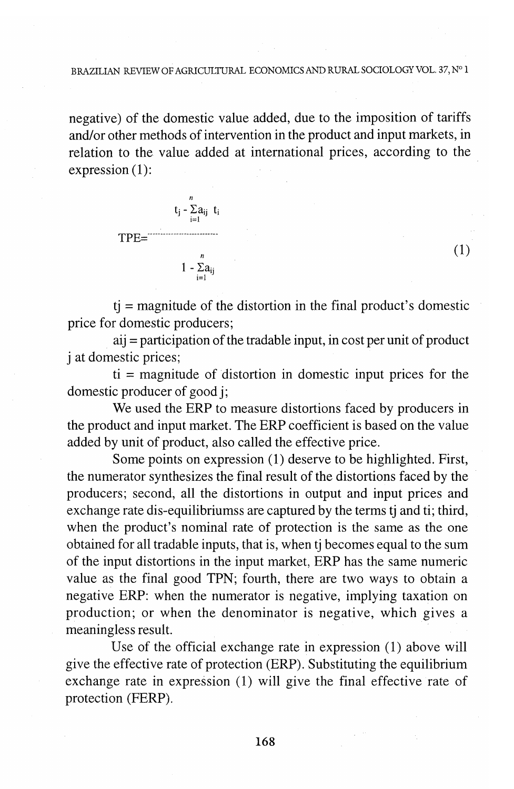#### BRAZILIAN REVIEW OF AGRJCULTURAL ECONOMICS AND RURAL SOCIOLOGY VOL. 37, N° 1

negative) of the domestic value added, due to the imposition of tariffs and/or other methods of intervention in the product and input markets, in relation to the value added at international prices, according to the expression (1):



 $t_i$  = magnitude of the distortion in the final product's domestic price for domestic producers;

(1)

aij = participation of the tradable input, in cost per unit of product j at domestic prices;

ti = magnitude of distortion in domestic input prices for the domestic producer of good j;

We used the ERP to measure distortions faced by producers in the product and input market. The ERP coefficient is based on the value added by unit of product, also called the effective price.

Some points on expression (1) deserve to be highlighted. First, the numerator synthesizes the final result of the distortions faced by the producers; second, all the distortions in output and input prices and exchange rate dis-equilibriumss are captured by the terms tj and ti; third, when the product's nominal rate of protection is the same as the one obtained for all tradable inputs, that is, when tj becomes equal to the sum of the input distortions in the input market, ERP has the same numeric value as the final good TPN; fourth, there are two ways to obtain a negative ERP: when the numerator is negative, implying taxation on production; or when the denominator is negative, which gives a meaningless result.

Use of the official exchange rate in expression (1) above will give the effective rate of protection (ERP). Substituting the equilibrium exchange rate in expression (1) will give the final effective rate of protection (FERP).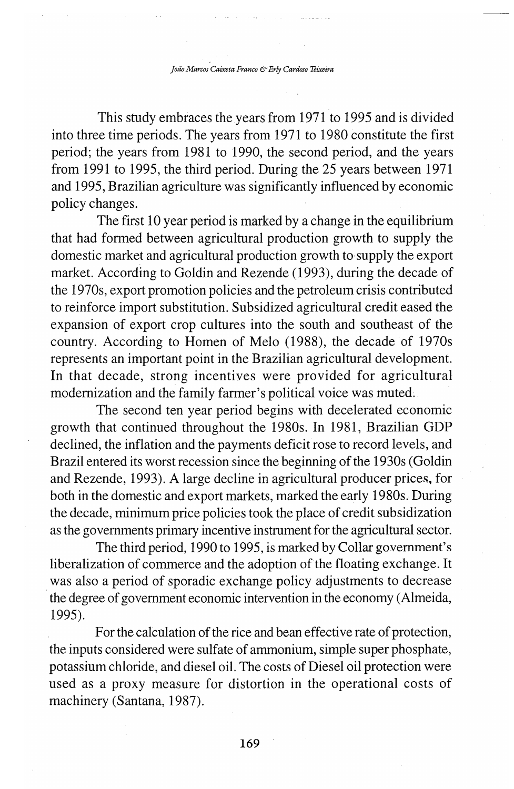This study embraces the years from 1971 to 1995 and is divided into three time periods. The years from 1971 to 1980 constitute the first period; the years from 1981 to 1990, the second period, and the years from 1991 to 1995, the third period. During the 25 years between 1971 and 1995, Brazilian agriculture was significantly influenced by economic policy changes.

The first 10 year period is marked by a change in the equilibrium that had formed between agricultural production growth to supply the domestic market and agricultural production growth to supply the export market. According to Goldin and Rezende (1993), during the decade of the 1970s, export promotion policies and the petroleum crisis contributed to reinforce import substitution. Subsidized agricultural credit eased the expansion of export crop cultures into the south and southeast of the country. According to Homen of Melo (1988), the decade of 1970s represents an important point in the Brazilian agricultural development. In that decade, strong incentives were provided for agricultural modernization and the family farmer's political voice was muted;

The second ten year period begins with decelerated economic growth that continued throughout the 1980s. In 1981, Brazilian GDP declined, the inflation and the payments deficit rose to record levels, and Brazil entered its worst recession since the beginning of the 1930s ( Goldin and Rezende, 1993). A large decline in agricultural producer prices, for both in the domestic and export markets, marked the early 1980s. During the decade, minimum price policies took the place of credit subsidization as the governments primary incentive instrument for the agricultural sector.

The third period, 1990 to 1995, is marked by Collar government's liberalization of commerce and the adoption of the floating exchange. It was also a period of sporadic exchange policy adjustments to decrease · the degree of government economic intervention in the economy (Almeida, 1995).

For the calculation of the rice and bean effective rate of protection, the inputs consideredwere sulfate of ammonium, simple super phosphate, potassium chloride, and diesel oil. The costs of Diesel oil protection were used as a proxy measure for distortion in the operational costs of machinery (Santana, 1987).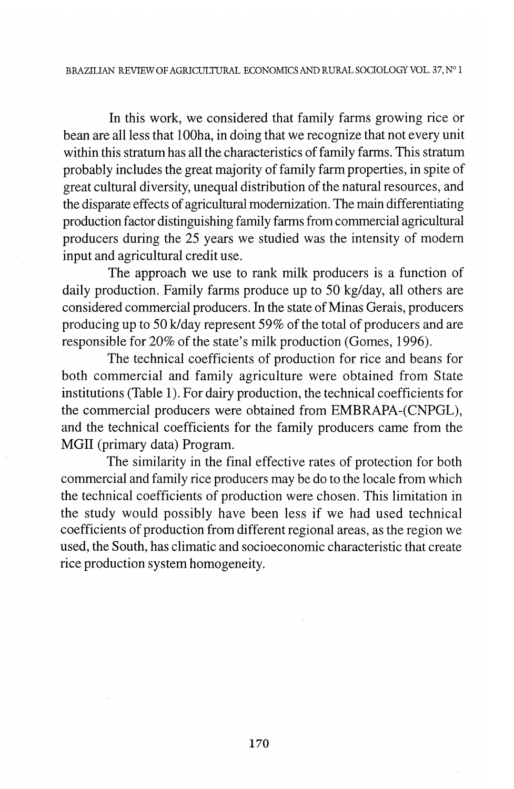In this work, we considered that family farms growing rice or bean are all less that 100 ha, in doing that we recognize that not every unit within this stratum has all the characteristics of family farms. This stratum probably includes the great majority of family farm properties, in spite of great cultural diversity, unequal distribution of the natural resources, and the disparate effects of agricultural modernization. The main differentiating production factor distinguishing family farms from commercial agricultural producers during the 25 years we studied was the intensity of modem input and agricultural credit use.

The approach we use to rank milk producers is a function of daily production. Family farms produce up to 50 kg/day, all others are considered commercial producers. In the state of Minas Gerais, producers producing up to 50 k/day represent 59% of the total of producers and are responsible for 20% of the state's milk production (Gomes, 1996).

The technical coefficients of production for rice and beans for both commercial and family agriculture were obtained from State institutions (Table I). For dairy production, the technical coefficients for the commercial producers were obtained from EMBRAPA-(CNPGL), and the technical coefficients for the family producers came from the MGII (primary data) Program.

The similarity in the final effective rates of protection for both commercial and family rice producers may be do to the locale from which the technical coefficients of production were chosen. This limitation in the study would possibly have been less if we had used technical coefficients of production from different regional areas, as the region we used, the South, has climatic and socioeconomic characteristic that create rice production system homogeneity.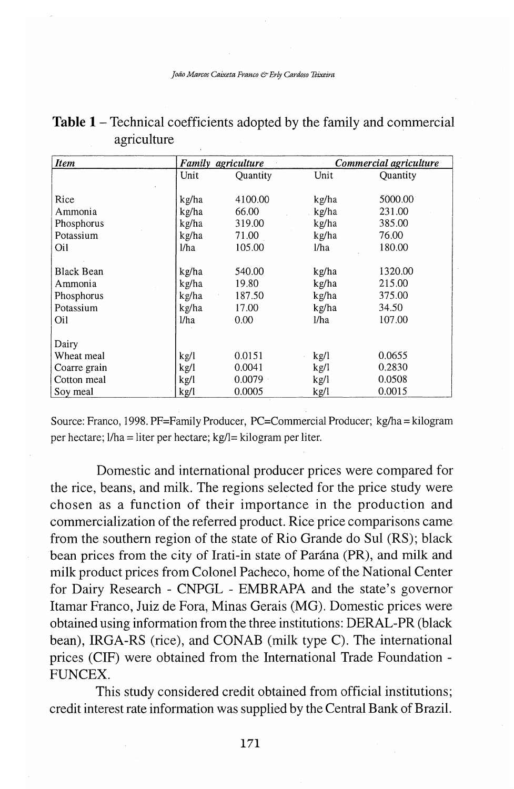| <b>Item</b>       | Family | agriculture |       | Commercial agriculture |
|-------------------|--------|-------------|-------|------------------------|
|                   | Unit   | Ouantity    | Unit  | <b>Ouantity</b>        |
|                   |        |             |       |                        |
| Rice              | kg/ha  | 4100.00     | kg/ha | 5000.00                |
| Ammonia           | kg/ha  | 66.00       | kg/ha | 231.00                 |
| Phosphorus        | kg/ha  | 319.00      | kg/ha | 385.00                 |
| Potassium         | kg/ha  | 71.00       | kg/ha | 76.00                  |
| Oil               | 1/ha   | 105.00      | l/ha  | 180.00                 |
| <b>Black Bean</b> | kg/ha  | 540.00      | kg/ha | 1320.00                |
| Ammonia           | kg/ha  | 19.80       | kg/ha | 215.00                 |
| Phosphorus        | kg/ha  | 187.50      | kg/ha | 375.00                 |
| Potassium         | kg/ha  | 17.00       | kg/ha | 34.50                  |
| Oil               | 1/ha   | 0.00        | l/ha  | 107.00                 |
| Dairy             |        |             |       |                        |
| Wheat meal        | kgl/   | 0.0151      | kgl   | 0.0655                 |
| Coarre grain      | kg/l   | 0.0041      | kg/l  | 0.2830                 |
| Cotton meal       | kg/l   | 0.0079      | kg/l  | 0.0508                 |
| Soy meal          | kg/l   | 0.0005      | kg/l  | 0.0015                 |

| <b>Table 1</b> – Technical coefficients adopted by the family and commercial |  |  |  |  |
|------------------------------------------------------------------------------|--|--|--|--|
| agriculture                                                                  |  |  |  |  |

Source: Franco, 1998. PF=Family Producer, PC=Commercial Producer; kg/ha= kilogram per hectare; I/ha= liter per hectare; kg/1= kilogram per liter.

Domestic and international producer prices were compared for the rice, beans, and milk. The regions selected for the price study were chosen as a function of their importance in the production and commercialization of the referred product. Rice price comparisons came from the southern region of the state of Rio Grande do Sul (RS); black bean prices from the city of Irati-in state of Parana (PR), and milk and milk product prices from Colonel Pacheco, home of the National Center for Dairy Research - CNPGL - EMBRAPA and the state's governor Itamar Franco, Juiz de Fora, Minas Gerais (MG). Domestic prices were obtained using information from the three institutions: DERAL-PR (black bean), IRGA-RS (rice), and CONAB (milk type C). The international prices (CIF) were obtained from the International Trade Foundation - FUNCEX.

This study considered credit obtained from official institutions; credit interest rate information was supplied by the Central Bank of Brazil.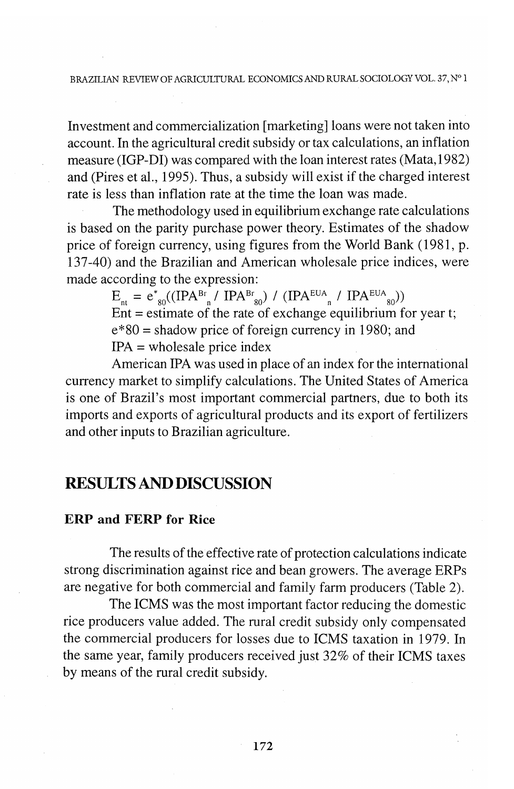Investment and commercialization [marketing] loans were not taken into account. In the agricultural credit subsidy or tax calculations, an inflation measure (IGP-DI) was compared with the loan interest rates (Mata, 1982) and (Pires et al., 1995). Thus, a subsidy will exist if the charged interest rate is less than inflation rate at the time the loan was made.

The methodology used in equilibrium exchange rate calculations is based on the parity purchase power theory. Estimates of the shadow price of foreign currency, using figures from the World Bank (1981, p. 137-40) and the Brazilian and American wholesale price indices, were made according to the expression:

 $\text{E}_{_{\textup{nt}}}$  =  $\text{e}_{_{80}}^\ast((\text{IPA}^{\text{Br}}_{_{\textup{n}}} / \text{IPA}^{\text{Br}}_{_{80}})$  /  $(\text{IPA}^{\text{EUA}}_{_{\textup{n}}} / \text{IPA}^{\text{EUA}}_{_{80}}))$  $Ent =$  estimate of the rate of exchange equilibrium for year t;  $e*80$  = shadow price of foreign currency in 1980; and  $IPA = whole sale price index$ 

American IPA was used in place of an index for the international currency market to simplify calculations. The United States of America is one of Brazil's most important commercial partners, due to both its imports and exports of agricultural products and its export of fertilizers and other inputs to Brazilian agriculture.

# **RESULTS AND DISCUSSION**

#### **ERP and FERP for Rice**

The results of the effective rate of protection calculations indicate strong discrimination against rice and bean growers. The average ERPs are negative for both commercial and family farm producers (Table 2).

The ICMS was the most important factor reducing the domestic rice producers value added. The rural credit subsidy only compensated the commercial producers for losses due to ICMS taxation in 1979. In the same year, family producers received just 32% of their ICMS taxes by means of the rural credit subsidy.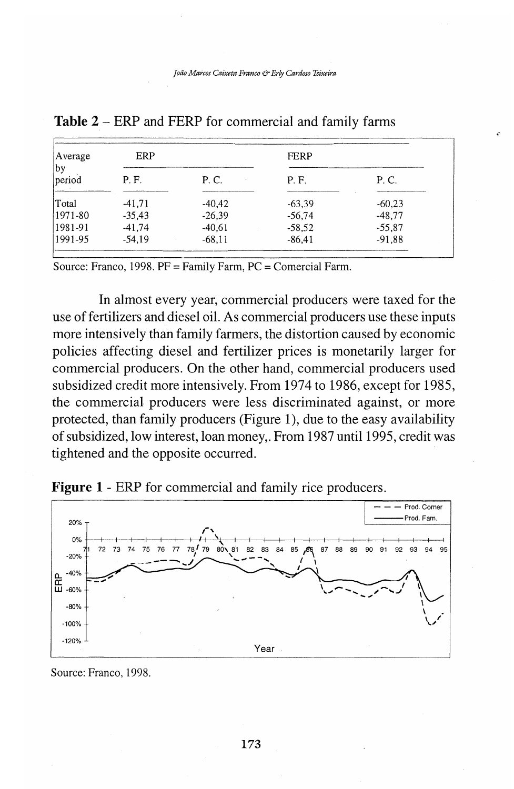| Average      | ERP      |          | <b>FERP</b> |          |
|--------------|----------|----------|-------------|----------|
| by<br>period | P.F.     | P. C.    | P.F.        | P. C.    |
| Total        | $-41.71$ | $-40.42$ | $-63.39$    | $-60.23$ |
| 1971-80      | $-35.43$ | $-26,39$ | $-56.74$    | $-48,77$ |
| 1981-91      | $-41,74$ | $-40,61$ | $-58.52$    | $-55,87$ |
| 1991-95      | $-54,19$ | $-68.11$ | $-86.41$    | $-91.88$ |

**Table 2** - ERP and FERP for commercial and family farms

Source: Franco, 1998. PF= Family Farm, PC= Comercial Farm.

In almost every year, commercial producers were taxed for the use of fertilizers and diesel oil. As commercial producers use these inputs more intensively than family farmers, the distortion caused by economic policies affecting diesel and fertilizer prices is monetarily larger for commercial producers. On the other hand, commercial producers used subsidized credit more intensively. From 1974 to 1986, except for 1985, the commercial producers were less discriminated against, or more protected, than family producers (Figure 1), due to the easy availability of subsidized, low interest, loan money,. From 1987 until 1995, credit was tightened and the opposite occurred.

**Figure 1** - ERP for commercial and family rice producers.



Source: Franco, 1998.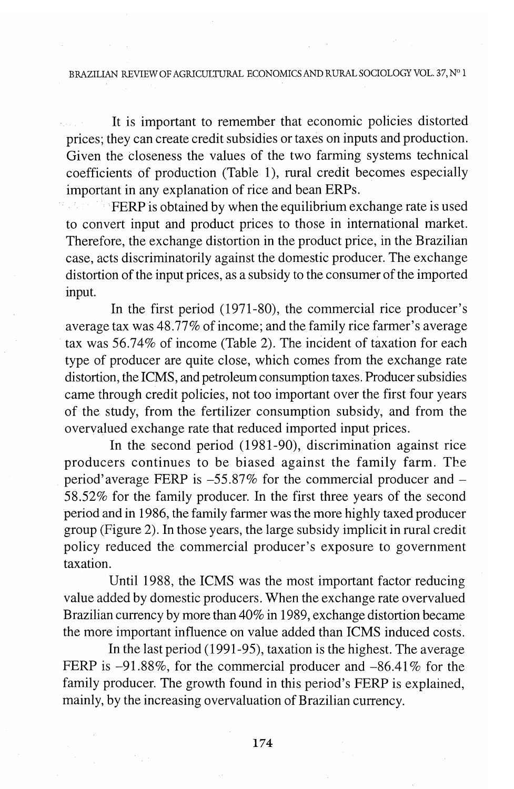#### BRAZILIAN REVIEW OF AGRICULTURAL ECONOMICS AND RURAL SOCIOLOGY VOL. 37, N° 1

It is important to remember that economic policies distorted prices; they can create credit subsidies or taxes on inputs and production. Given the closeness the values of the two farming systems technical coefficients of production (Table 1), rural credit becomes especially important in any explanation of rice and bean ERPs.

FERP is obtained by when the equilibrium exchange rate is used to convert input and product prices to those in international market. Therefore, the exchange distortion in the product price, in the Brazilian case, acts discriminatorily against the domestic producer. The exchange distortion of the input prices, as a subsidy to the consumer of the imported input.

In the first period (1971-80), the commercial rice producer's average tax was 48.77% of income; and the family rice farmer's average tax was 56.74% of income (Table 2). The incident of taxation for each type of producer are quite close, which comes from the exchange rate distortion, the ICMS, and petroleum consumption taxes. Producer subsidies came through credit policies, not too important over the first four years of the study, from the fertilizer consumption subsidy, and from the overvalued exchange rate that reduced imported input prices.

In the second period (1981-90), discrimination against rice producers continues to be biased against the family farm. The period'average FERP is  $-55.87\%$  for the commercial producer and  $-$ 58.52% for the family producer. In the first three years of the second period and in 1986, the family farmer was the more highly taxed producer group (Figure 2). **In** those years, the large subsidy implicit in rural credit policy reduced the commercial producer's exposure to government taxation.

Until 1988, the **ICMS** was the most important factor reducing value added by domestic producers. When the exchange rate overvalued Brazilian currency by more than 40% in 1989, exchange distortion became the more important influence on value added than ICMS induced costs.

In the last period (1991-95), taxation is the highest. The average FERP is  $-91.88\%$ , for the commercial producer and  $-86.41\%$  for the family producer. The growth found in this period's FERP is explained, mainly, by the increasing overvaluation of Brazilian currency.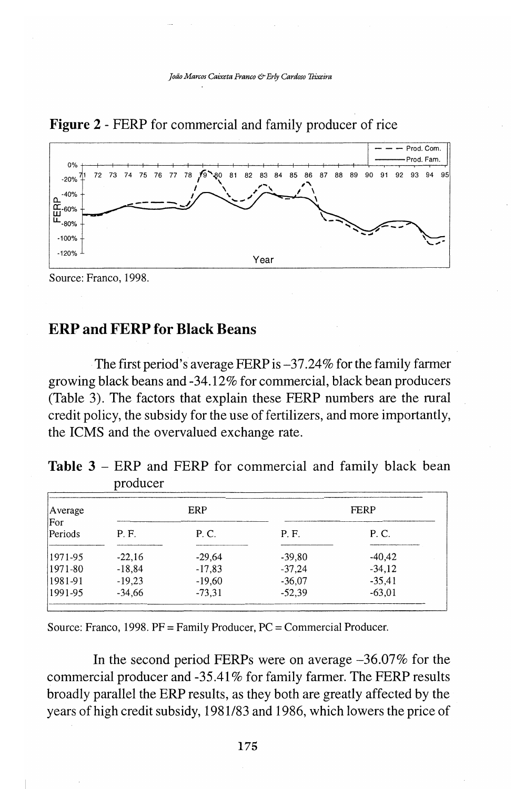

**Figure 2** - FERP for commercial and family producer of rice

Source: Franco, 1998.

### **ERP and FERP for Black Beans**

The first period's average FERP is  $-37.24\%$  for the family farmer growing black beans and-34.12% for commercial, black bean producers (Table 3). The factors that explain these FERP numbers are the rural credit policy, the subsidy for the use of fertilizers, and more importantly, the ICMS and the overvalued exchange rate.

Table 3 – ERP and FERP for commercial and family black bean producer

| Average<br>For | ERP      |          | <b>FERP</b> |          |
|----------------|----------|----------|-------------|----------|
| Periods        | P.F.     | P. C.    | P.F.        | P. C.    |
| 1971-95        | $-22.16$ | $-29.64$ | $-39.80$    | $-40.42$ |
| 1971-80        | $-18.84$ | $-17,83$ | $-37,24$    | $-34.12$ |
| 1981-91        | $-19.23$ | $-19,60$ | $-36.07$    | $-35.41$ |
| 1991-95        | $-34.66$ | $-73,31$ | $-52.39$    | $-63,01$ |

Source: Franco, 1998. PF= Family Producer, PC= Commercial Producer.

In the second period FERPs were on average  $-36.07\%$  for the commercial producer and -35.41 % for family farmer. The FERP results broadly parallel the ERP results, as they both are greatly affected by the years of high credit subsidy, 1981/83 and 1986, which lowers the price of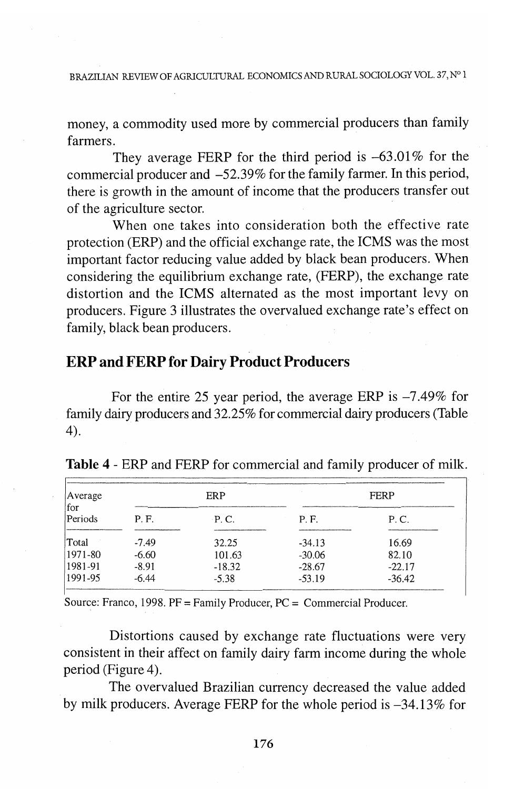BRAZILIAN REVIEW OF AGRICULTURAL ECONOMICS AND RURAL SOCIOLOGY VOL. 37, N° 1

money, a commodity used more by commercial producers than family farmers.

They average FERP for the third period is  $-63.01\%$  for the commercial producer and -52.39% for the family farmer. In this period, there is growth in the amount of income that the producers transfer out of the agriculture sector.

When one takes into consideration both the effective rate protection (ERP) and the official exchange rate, the ICMS was the most important factor reducing value added by black bean producers. When considering the equilibrium exchange rate, (FERP), the exchange rate distortion and the ICMS alternated as the most important levy on producers. Figure 3 illustrates the overvalued exchange rate's effect on family, black bean producers.

# **ERP and FERP for Dairy Product Producers**

For the entire 25 year period, the average ERP is  $-7.49\%$  for family dairy producers and 32.25% for commercial dairy producers (Table 4).

| Average<br>for |         | ERP           |          | <b>FERP</b>                                              |  |  |
|----------------|---------|---------------|----------|----------------------------------------------------------|--|--|
| Periods        | P. F.   | $\cdot$ P. C. | P.F.     | P. C.<br><b>PERMIT RANGE AND ARRESTS AT REPORTS TO A</b> |  |  |
| Total          | $-7.49$ | 32.25         | $-34.13$ | 16.69                                                    |  |  |
| 1971-80        | $-6.60$ | 101.63        | $-30.06$ | 82.10                                                    |  |  |
| 1981-91        | $-8.91$ | $-18.32$      | $-28.67$ | $-22.17$                                                 |  |  |
| 1991-95        | -6.44   | $-5.38$       | $-53.19$ | $-36.42$                                                 |  |  |

**Table 4** - ERP and FERP for commercial and family producer of milk.

Source: Franco, 1998.  $PF = Family Producer$ ,  $PC = Commercial Producer$ .

Distortions caused by exchange rate fluctuations were very consistent in their affect on family dairy farm income during the whole period (Figure 4).

The overvalued Brazilian currency decreased the value added by milk producers. Average FERP for the whole period is  $-34.13\%$  for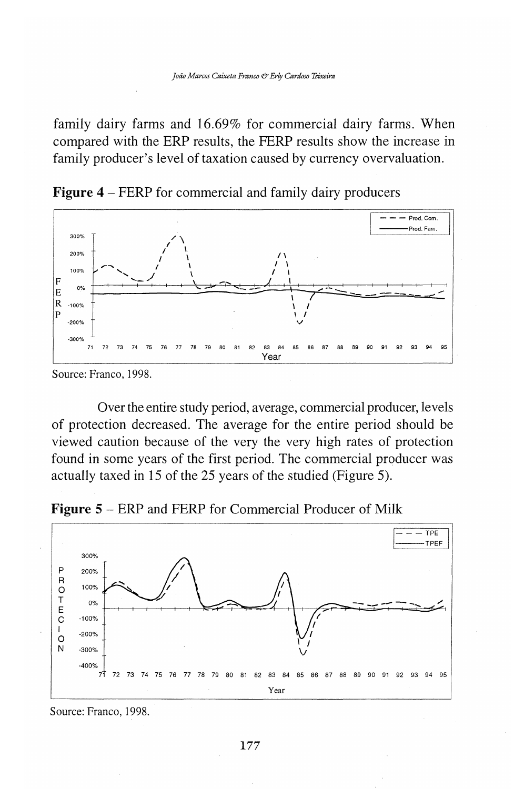family dairy farms and 16.69% for commercial dairy farms. When compared with the ERP results, the FERP results show the increase in family producer's level of taxation caused by currency overvaluation.

**Figure 4** – FERP for commercial and family dairy producers



Source: Franco, 1998.

Over the entire study period, average, commercial producer, levels of protection decreased. The average for the entire period should be viewed caution because of the very the very high rates of protection found in some years of the first period. The commercial producer was actually taxed in 15 of the 25 years of the studied (Figure 5).





Source: Franco, 1998.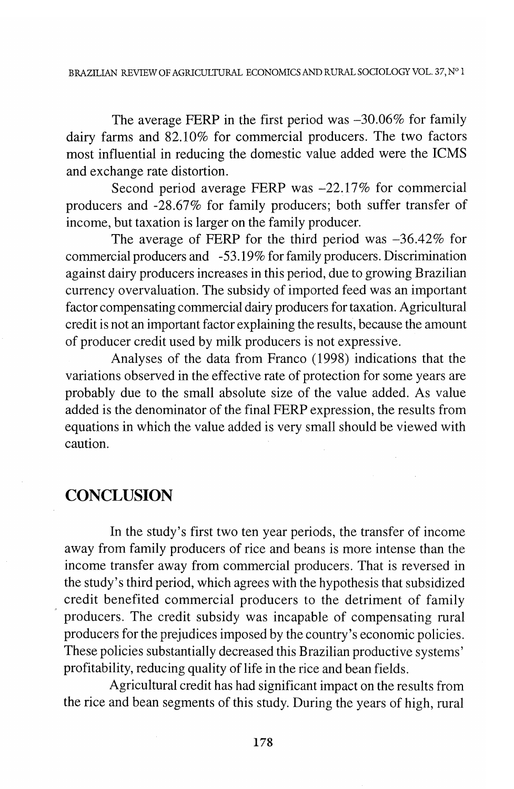The average FERP in the first period was  $-30.06\%$  for family dairy farms and 82.10% for commercial producers. The two factors most influential in reducing the domestic value added were the ICMS and exchange rate distortion.

Second period average FERP was  $-22.17\%$  for commercial producers and -28.67% for family producers; both suffer transfer of income, but taxation is larger on the family producer.

The average of FERP for the third period was  $-36.42\%$  for commercial producers and -53.19% for family producers. Discrimination against dairy producers increases in this period, due to growing Brazilian currency overvaluation. The subsidy of imported feed was an important factor compensating commercial dairy producers for taxation. Agricultural credit is not an important factor explaining the results, because the amount of producer credit used by milk producers is not expressive.

Analyses of the data from Franco (1998) indications that the variations observed in the effective rate of protection for some years are probably due to the small absolute size of the value added. As value added is the denominator of the final FERP expression, the results from equations in which the value added is very small should be viewed with caution.

### **CONCLUSION**

In the study's first two ten year periods, the transfer of income away from family producers of rice and beans is more intense than the income transfer away from commercial producers. That is reversed in the study's third period, which agrees with the hypothesis that subsidized credit benefited commercial producers to the detriment of family producers. The credit subsidy was incapable of compensating rural producers for the prejudices imposed by the country's economic policies. These policies substantially decreased this Brazilian productive systems' profitability, reducing quality of life in the rice and bean fields.

Agricultural credit has had significant impact on the results from the rice and bean segments of this study. During the years of high, rural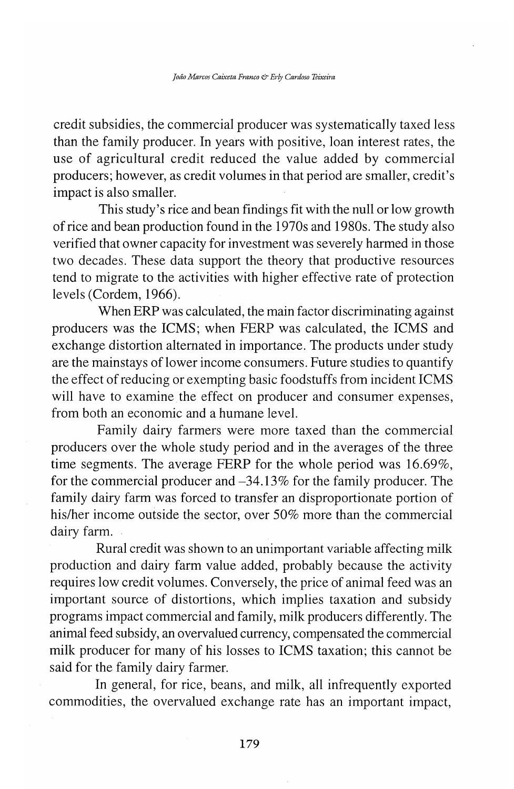credit subsidies, the commercial producer was systematically taxed less than the family producer. In years with positive, loan interest rates, the use of agricultural credit reduced the value added by commercial producers; however, as credit volumes in that period are smaller, credit's impact is also smaller.

This study's rice and bean findings fit with the null or low growth of rice and bean production found in the 1970s and 1980s. The study also verified that owner capacity for investment was severely harmed in those two decades. These data support the theory that productive resources tend to migrate to the activities with higher effective rate of protection levels (Cordem, 1966).

When ERP was calculated, the main factor discriminating against producers was the ICMS; when FERP was calculated, the ICMS and exchange distortion alternated in importance. The products under study are the mainstays of lower income consumers. Future studies to quantify the effect of reducing or exempting basic foodstuffs from incident ICMS will have to examine the effect on producer and consumer expenses, from both an economic and a humane level.

Family dairy farmers were more taxed than the commercial producers over the whole study period and in the averages of the three time segments. The average FERP for the whole period was 16.69%, for the commercial producer and  $-34.13\%$  for the family producer. The family dairy farm was forced to transfer an disproportionate portion of his/her income outside the sector, over 50% more than the commercial dairy farm.

Rural credit was shown to an unimportant variable affecting milk production and dairy farm value added, probably because the activity requires low credit volumes. Conversely, the price of animal feed was an important source of distortions, which implies taxation and subsidy programs impact commercial and family, milk producers differently. The animal feed subsidy, an overvalued currency, compensated the commercial milk producer for many of his losses to ICMS taxation; this cannot be said for the family dairy farmer.

In general, for rice, beans, and milk, all infrequently exported commodities, the overvalued exchange rate has an important impact,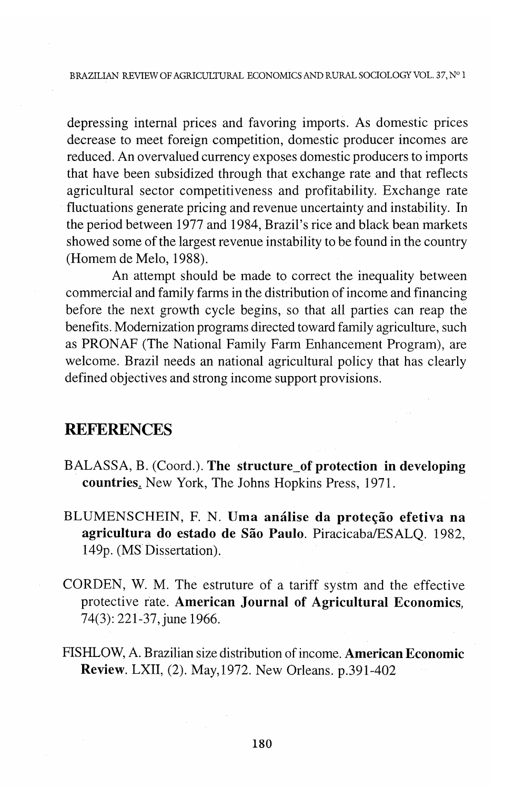depressing internal prices and favoring imports. As domestic prices decrease to meet foreign competition, domestic producer incomes are reduced. An overvalued currency exposes domestic producers to imports that have been subsidized through that exchange rate and that reflects agricultural sector competitiveness and profitability. Exchange rate fluctuations generate pricing and revenue uncertainty and instability. In the period between 1977 and 1984, Brazil's rice and black bean markets showed some of the largest revenue instability to be found in the country (Homem de Melo, 1988).

An attempt should be made to correct the inequality between commercial and family farms in the distribution of income and financing before the next growth cycle begins, so that all parties can reap the benefits. Modernization programs directed toward family agriculture, such as PRONAF (The National Family Farm Enhancement Program), are welcome. Brazil needs an national agricultural policy that has clearly defined objectives and strong income support provisions.

### **REFERENCES**

- BALASSA, B. (Coord.). **The structure\_of protection in developing countries.** New York, The Johns Hopkins Press, 1971.
- BLUMENSCHEIN, F. N. Uma análise da proteção efetiva na **agricultura do estado de Sao Paulo.** Piracicaba/ESALQ. 1982, 149p. (MS Dissertation).
- CORDEN, W. M. The estruture of a tariff systm and the effective protective rate. **American Journal of Agricultural Economics,**  74(3): 221-37, june 1966.
- FISHLOW, A. Brazilian size distribution of income. **American Economic Review.** LXII, (2). May,1972. New Orleans. p.391-402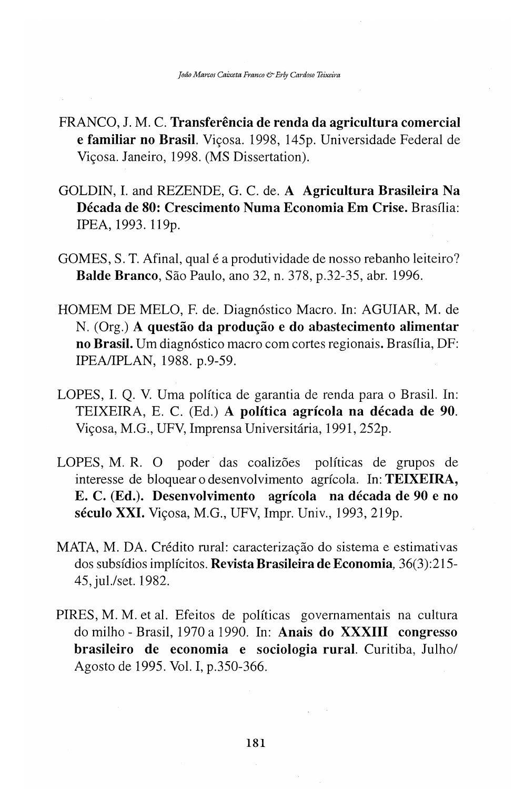- FRANCO, J. M. C. **Transferencia de renda da agricultura comercial e familiar no Brasil**. Vicosa. 1998, 145p. Universidade Federal de Vicosa. Janeiro, 1998. (MS Dissertation).
- GOLDIN, I. and REZENDE, G. C. de. **A Agricultura Brasileira Na Decada de 80: Crescimento Numa Economia Em Crise.** Brasilia: IPEA, 1993. 119p.
- GOMES, S. T. Afinal, qual é a produtividade de nosso rebanho leiteiro? **Balde Branco,** Sao Paulo, ano 32, n. 378, p.32-35, abr. 1996.
- HOMEM DE MELO, F. de. Diagn6stico Macro. In: AGUIAR, M. de N. (Org.) A questão da produção e do abastecimento alimentar **no Brasil.** Um diagn6stico macro com cortes regionais. Brasilia, DF: IPEA/IPLAN, 1988. p.9-59.
- LOPES, I. Q. V. Uma politica de garantia de renda para o Brasil. In: TEIXEIRA, E. C. (Ed.) **A politica agricola na decada de 90.**  Viçosa, M.G., UFV, Imprensa Universitária, 1991, 252p.
- LOPES, M. R. O poder das coalizões políticas de grupos de interesse de bloquear o desenvolvimento agrfcola. In: **TEIXEIRA, E. C. (Ed.). Desenvolvimento agricola na decada de 90 e no século XXI.** Vicosa, M.G., UFV, Impr. Univ., 1993, 219p.
- MATA, M. DA. Crédito rural: caracterização do sistema e estimativas dos subsfdios implfcitos. **Revista Brasileira de Economia,** 36(3) :215- 45, jul./set. 1982.
- PIRES, M. M. et al. Efeitos de políticas governamentais na cultura do milho - Brasil, 1970 a 1990. In: **Anais do XXXIII congresso brasileiro de economia e sociologia rural.** Curitiba, Julho/ Agosto de 1995. Vol. I, p.350-366.